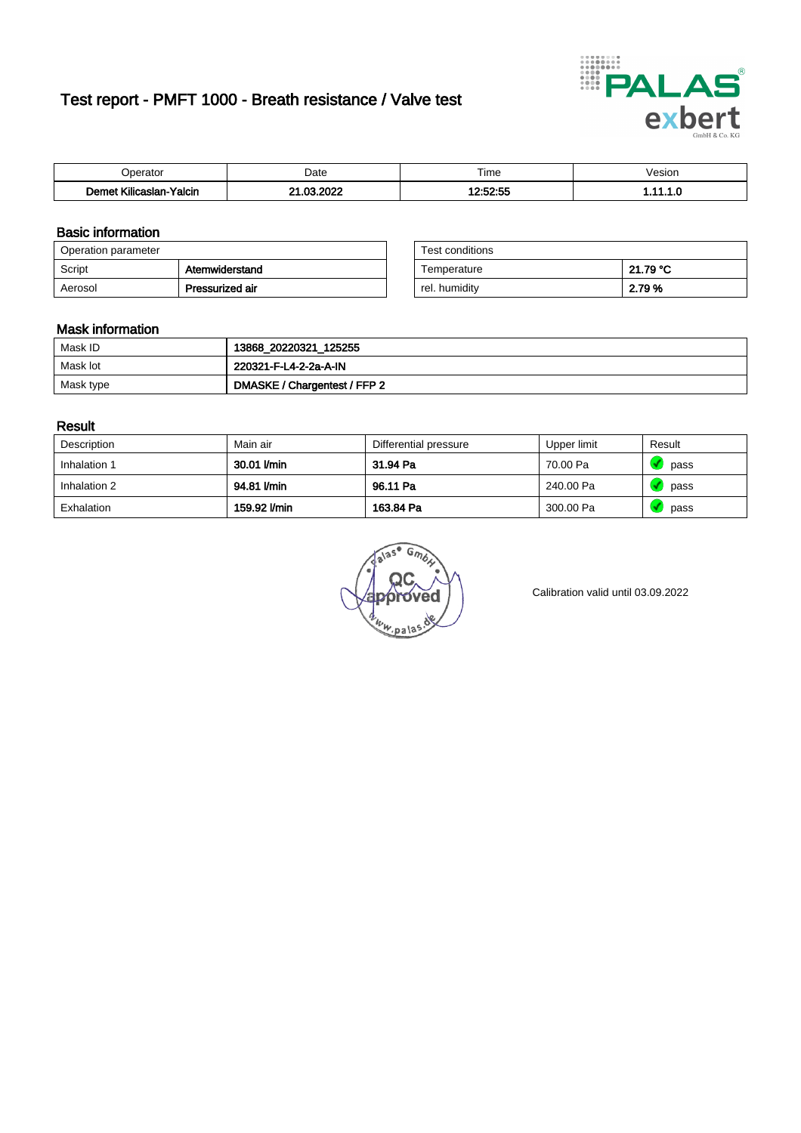# Test report - PMFT 1000 - Breath resistance / Valve test



| )perator                            | Date                      | $- \cdot$<br>Гіmе    | esion/ |
|-------------------------------------|---------------------------|----------------------|--------|
| .<br>Yalcin<br>⊿slan-`<br>∴∧ilica∘∵ | 000<br>$\sim$<br>. .<br>w | .co.cc<br>$\sim$<br> | .      |

## Basic information

| Operation parameter |                 | Test conditions |          |
|---------------------|-----------------|-----------------|----------|
| Script              | Atemwiderstand  | Temperature     | 21.79 °C |
| Aerosol             | Pressurized air | rel. humidity   | 2.79 %   |

| Test conditions |          |
|-----------------|----------|
| Temperature     | 21.79 °C |
| rel. humidity   | 2.79%    |

#### Mask information

| Mask ID   | 13868_20220321_125255        |
|-----------|------------------------------|
| Mask lot  | 220321-F-L4-2-2a-A-IN        |
| Mask type | DMASKE / Chargentest / FFP 2 |

### Result

| Description  | Main air     | Differential pressure | Upper limit | Result |
|--------------|--------------|-----------------------|-------------|--------|
| Inhalation 1 | 30.01 l/min  | 31.94 Pa              | 70.00 Pa    | pass   |
| Inhalation 2 | 94.81 l/min  | 96.11 Pa              | 240.00 Pa   | pass   |
| Exhalation   | 159.92 l/min | 163.84 Pa             | 300.00 Pa   | pass   |

w.pala

Calibration valid until 03.09.2022